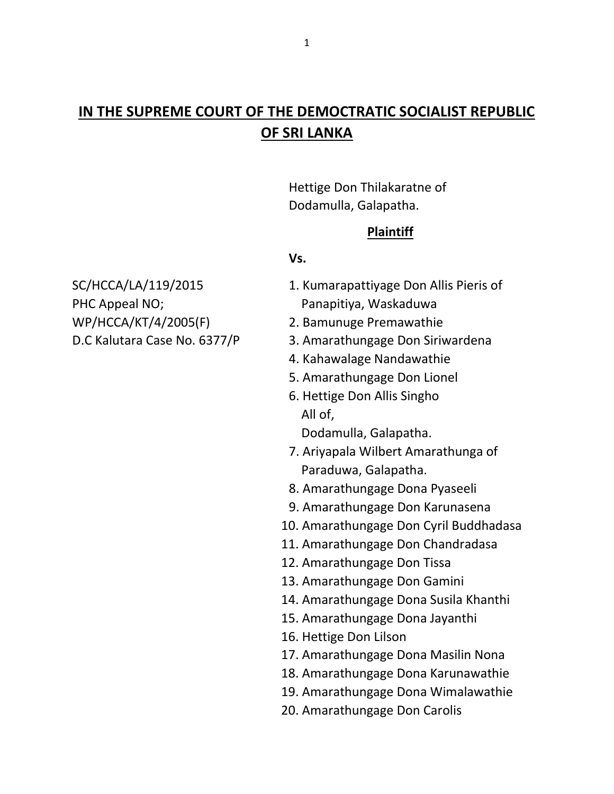# **IN THE SUPREME COURT OF THE DEMOCTRATIC SOCIALIST REPUBLIC OF SRI LANKA**

Hettige Don Thilakaratne of Dodamulla, Galapatha.

### **Plaintiff**

#### **Vs.**

PHC Appeal NO; example a panapitiya, Waskaduwa WP/HCCA/KT/4/2005(F) 2. Bamunuge Premawathie

- SC/HCCA/LA/119/2015 1. Kumarapattiyage Don Allis Pieris of
	-
- D.C Kalutara Case No. 6377/P 3. Amarathungage Don Siriwardena
	- 4. Kahawalage Nandawathie
	- 5. Amarathungage Don Lionel
	- 6. Hettige Don Allis Singho All of,

Dodamulla, Galapatha.

- 7. Ariyapala Wilbert Amarathunga of Paraduwa, Galapatha.
- 8. Amarathungage Dona Pyaseeli
- 9. Amarathungage Don Karunasena
- 10. Amarathungage Don Cyril Buddhadasa
- 11. Amarathungage Don Chandradasa
- 12. Amarathungage Don Tissa
- 13. Amarathungage Don Gamini
- 14. Amarathungage Dona Susila Khanthi
- 15. Amarathungage Dona Jayanthi
- 16. Hettige Don Lilson
- 17. Amarathungage Dona Masilin Nona
- 18. Amarathungage Dona Karunawathie
- 19. Amarathungage Dona Wimalawathie
- 20. Amarathungage Don Carolis

1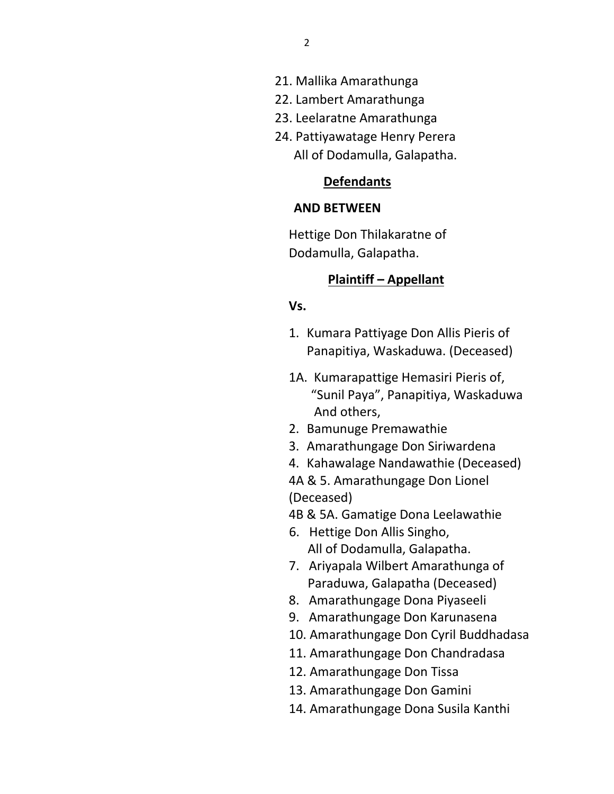- 21. Mallika Amarathunga
- 22. Lambert Amarathunga
- 23. Leelaratne Amarathunga
- 24. Pattiyawatage Henry Perera All of Dodamulla, Galapatha.

### **Defendants**

#### **AND BETWEEN**

Hettige Don Thilakaratne of Dodamulla, Galapatha.

### **Plaintiff – Appellant**

#### **Vs.**

- 1. Kumara Pattiyage Don Allis Pieris of Panapitiya, Waskaduwa. (Deceased)
- 1A. Kumarapattige Hemasiri Pieris of, "Sunil Paya", Panapitiya, Waskaduwa And others,
- 2. Bamunuge Premawathie
- 3. Amarathungage Don Siriwardena
- 4. Kahawalage Nandawathie (Deceased)

4A & 5. Amarathungage Don Lionel (Deceased)

4B & 5A. Gamatige Dona Leelawathie

- 6. Hettige Don Allis Singho, All of Dodamulla, Galapatha.
- 7. Ariyapala Wilbert Amarathunga of Paraduwa, Galapatha (Deceased)
- 8. Amarathungage Dona Piyaseeli
- 9. Amarathungage Don Karunasena
- 10. Amarathungage Don Cyril Buddhadasa
- 11. Amarathungage Don Chandradasa
- 12. Amarathungage Don Tissa
- 13. Amarathungage Don Gamini
- 14. Amarathungage Dona Susila Kanthi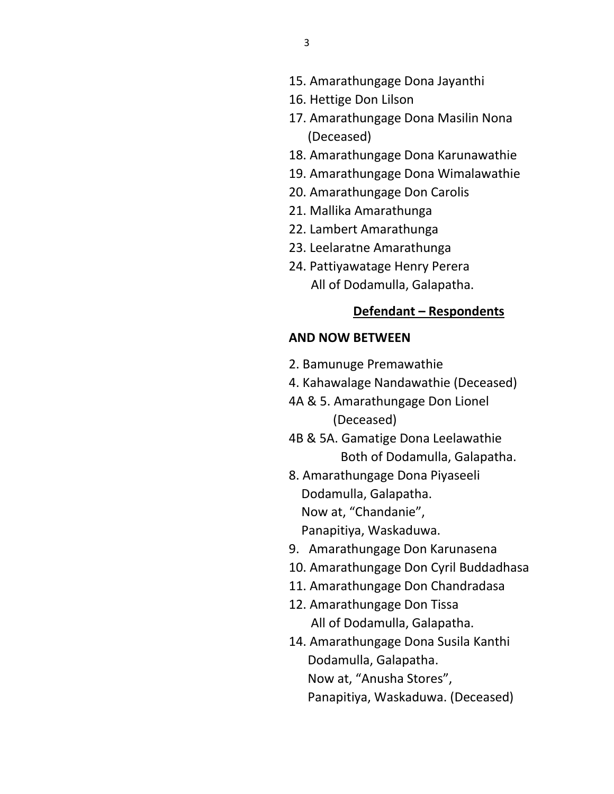- 16. Hettige Don Lilson
- 17. Amarathungage Dona Masilin Nona (Deceased)
- 18. Amarathungage Dona Karunawathie
- 19. Amarathungage Dona Wimalawathie
- 20. Amarathungage Don Carolis
- 21. Mallika Amarathunga
- 22. Lambert Amarathunga
- 23. Leelaratne Amarathunga
- 24. Pattiyawatage Henry Perera All of Dodamulla, Galapatha.

#### **Defendant – Respondents**

#### **AND NOW BETWEEN**

- 2. Bamunuge Premawathie
- 4. Kahawalage Nandawathie (Deceased)
- 4A & 5. Amarathungage Don Lionel (Deceased)
- 4B & 5A. Gamatige Dona Leelawathie Both of Dodamulla, Galapatha.
- 8. Amarathungage Dona Piyaseeli Dodamulla, Galapatha. Now at, "Chandanie", Panapitiya, Waskaduwa.
- 9. Amarathungage Don Karunasena
- 10. Amarathungage Don Cyril Buddadhasa
- 11. Amarathungage Don Chandradasa
- 12. Amarathungage Don Tissa All of Dodamulla, Galapatha.
- 14. Amarathungage Dona Susila Kanthi Dodamulla, Galapatha. Now at, "Anusha Stores", Panapitiya, Waskaduwa. (Deceased)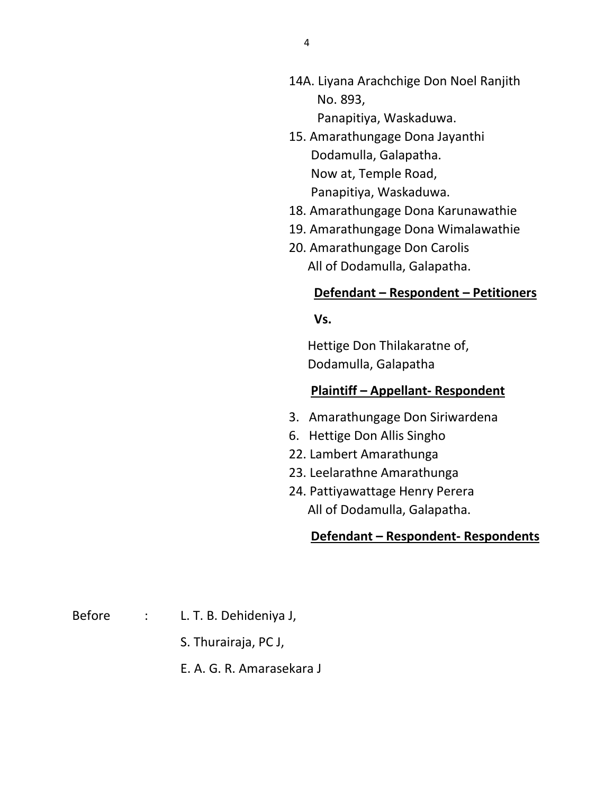- 14A. Liyana Arachchige Don Noel Ranjith No. 893, Panapitiya, Waskaduwa.
- 15. Amarathungage Dona Jayanthi Dodamulla, Galapatha. Now at, Temple Road, Panapitiya, Waskaduwa.
- 18. Amarathungage Dona Karunawathie
- 19. Amarathungage Dona Wimalawathie
- 20. Amarathungage Don Carolis All of Dodamulla, Galapatha.

### **Defendant – Respondent – Petitioners**

 **Vs.** 

 Hettige Don Thilakaratne of, Dodamulla, Galapatha

### **Plaintiff – Appellant- Respondent**

- 3. Amarathungage Don Siriwardena
- 6. Hettige Don Allis Singho
- 22. Lambert Amarathunga
- 23. Leelarathne Amarathunga
- 24. Pattiyawattage Henry Perera All of Dodamulla, Galapatha.

### **Defendant – Respondent- Respondents**

Before : L. T. B. Dehideniya J,

- S. Thurairaja, PC J,
- E. A. G. R. Amarasekara J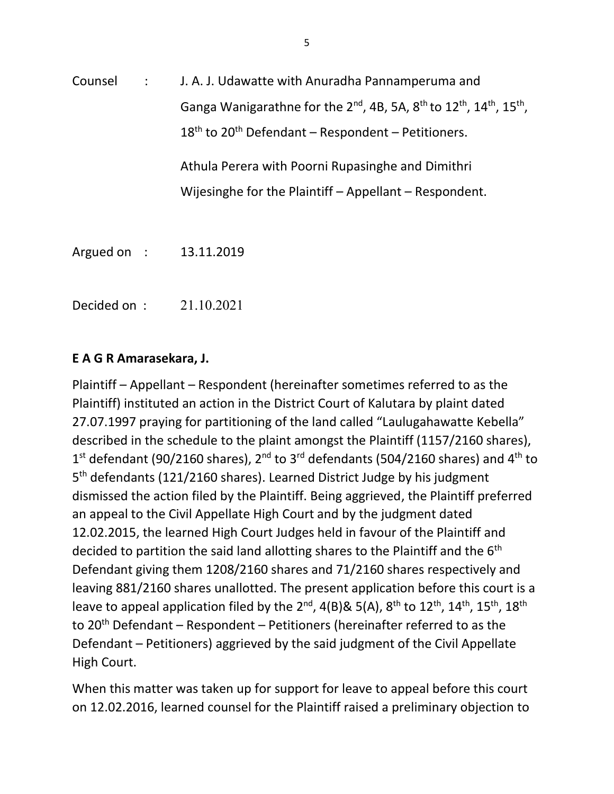Counsel : J. A. J. Udawatte with Anuradha Pannamperuma and Ganga Wanigarathne for the 2<sup>nd</sup>, 4B, 5A, 8<sup>th</sup> to 12<sup>th</sup>, 14<sup>th</sup>, 15<sup>th</sup>,  $18<sup>th</sup>$  to 20<sup>th</sup> Defendant – Respondent – Petitioners. Athula Perera with Poorni Rupasinghe and Dimithri Wijesinghe for the Plaintiff – Appellant – Respondent.

Decided on : 21.10.2021

Argued on : 13.11.2019

### **E A G R Amarasekara, J.**

Plaintiff – Appellant – Respondent (hereinafter sometimes referred to as the Plaintiff) instituted an action in the District Court of Kalutara by plaint dated 27.07.1997 praying for partitioning of the land called "Laulugahawatte Kebella" described in the schedule to the plaint amongst the Plaintiff (1157/2160 shares),  $1<sup>st</sup>$  defendant (90/2160 shares), 2<sup>nd</sup> to 3<sup>rd</sup> defendants (504/2160 shares) and 4<sup>th</sup> to 5<sup>th</sup> defendants (121/2160 shares). Learned District Judge by his judgment dismissed the action filed by the Plaintiff. Being aggrieved, the Plaintiff preferred an appeal to the Civil Appellate High Court and by the judgment dated 12.02.2015, the learned High Court Judges held in favour of the Plaintiff and decided to partition the said land allotting shares to the Plaintiff and the 6<sup>th</sup> Defendant giving them 1208/2160 shares and 71/2160 shares respectively and leaving 881/2160 shares unallotted. The present application before this court is a leave to appeal application filed by the 2<sup>nd</sup>, 4(B)& 5(A), 8<sup>th</sup> to 12<sup>th</sup>, 14<sup>th</sup>, 15<sup>th</sup>, 18<sup>th</sup> to 20<sup>th</sup> Defendant – Respondent – Petitioners (hereinafter referred to as the Defendant – Petitioners) aggrieved by the said judgment of the Civil Appellate High Court.

When this matter was taken up for support for leave to appeal before this court on 12.02.2016, learned counsel for the Plaintiff raised a preliminary objection to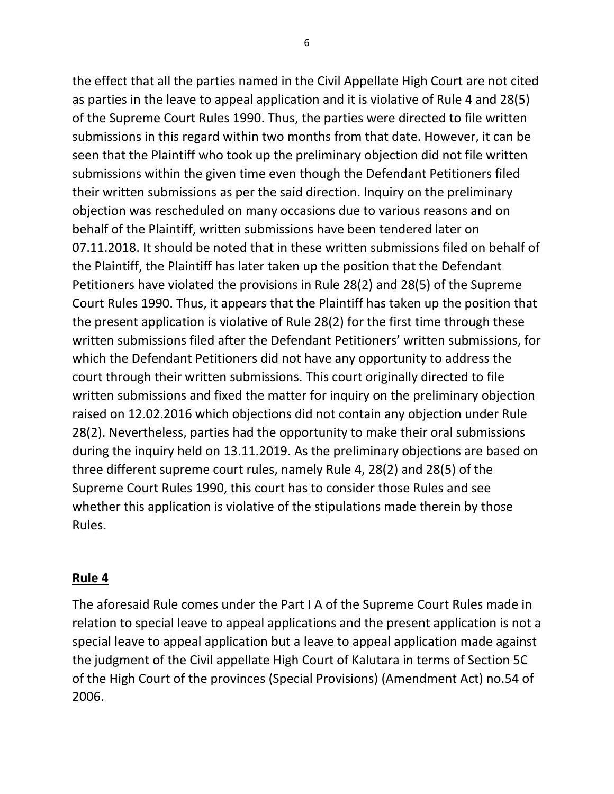the effect that all the parties named in the Civil Appellate High Court are not cited as parties in the leave to appeal application and it is violative of Rule 4 and 28(5) of the Supreme Court Rules 1990. Thus, the parties were directed to file written submissions in this regard within two months from that date. However, it can be seen that the Plaintiff who took up the preliminary objection did not file written submissions within the given time even though the Defendant Petitioners filed their written submissions as per the said direction. Inquiry on the preliminary objection was rescheduled on many occasions due to various reasons and on behalf of the Plaintiff, written submissions have been tendered later on 07.11.2018. It should be noted that in these written submissions filed on behalf of the Plaintiff, the Plaintiff has later taken up the position that the Defendant Petitioners have violated the provisions in Rule 28(2) and 28(5) of the Supreme Court Rules 1990. Thus, it appears that the Plaintiff has taken up the position that the present application is violative of Rule 28(2) for the first time through these written submissions filed after the Defendant Petitioners' written submissions, for which the Defendant Petitioners did not have any opportunity to address the court through their written submissions. This court originally directed to file written submissions and fixed the matter for inquiry on the preliminary objection raised on 12.02.2016 which objections did not contain any objection under Rule 28(2). Nevertheless, parties had the opportunity to make their oral submissions during the inquiry held on 13.11.2019. As the preliminary objections are based on three different supreme court rules, namely Rule 4, 28(2) and 28(5) of the Supreme Court Rules 1990, this court has to consider those Rules and see whether this application is violative of the stipulations made therein by those Rules.

### **Rule 4**

The aforesaid Rule comes under the Part I A of the Supreme Court Rules made in relation to special leave to appeal applications and the present application is not a special leave to appeal application but a leave to appeal application made against the judgment of the Civil appellate High Court of Kalutara in terms of Section 5C of the High Court of the provinces (Special Provisions) (Amendment Act) no.54 of 2006.

6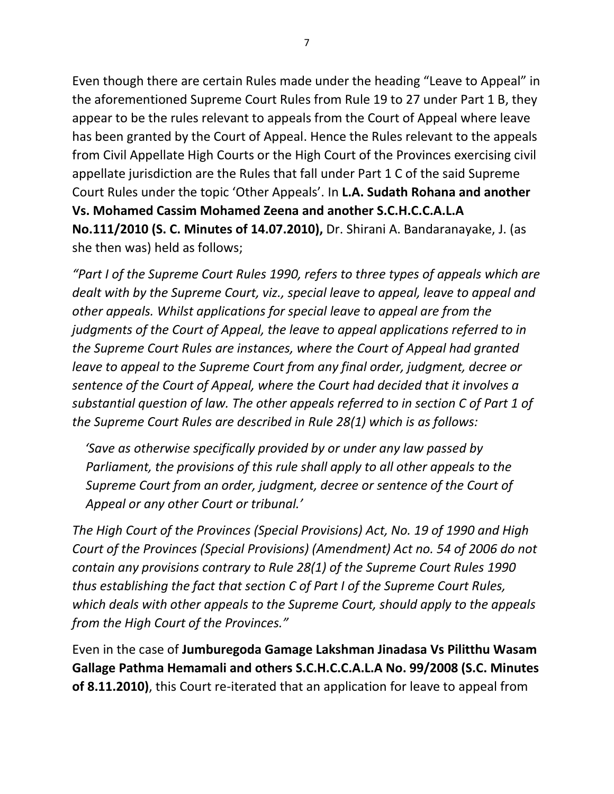Even though there are certain Rules made under the heading "Leave to Appeal" in the aforementioned Supreme Court Rules from Rule 19 to 27 under Part 1 B, they appear to be the rules relevant to appeals from the Court of Appeal where leave has been granted by the Court of Appeal. Hence the Rules relevant to the appeals from Civil Appellate High Courts or the High Court of the Provinces exercising civil appellate jurisdiction are the Rules that fall under Part 1 C of the said Supreme Court Rules under the topic 'Other Appeals'. In **L.A. Sudath Rohana and another Vs. Mohamed Cassim Mohamed Zeena and another S.C.H.C.C.A.L.A No.111/2010 (S. C. Minutes of 14.07.2010),** Dr. Shirani A. Bandaranayake, J. (as she then was) held as follows;

*"Part I of the Supreme Court Rules 1990, refers to three types of appeals which are dealt with by the Supreme Court, viz., special leave to appeal, leave to appeal and other appeals. Whilst applications for special leave to appeal are from the judgments of the Court of Appeal, the leave to appeal applications referred to in the Supreme Court Rules are instances, where the Court of Appeal had granted leave to appeal to the Supreme Court from any final order, judgment, decree or sentence of the Court of Appeal, where the Court had decided that it involves a substantial question of law. The other appeals referred to in section C of Part 1 of the Supreme Court Rules are described in Rule 28(1) which is as follows:*

*'Save as otherwise specifically provided by or under any law passed by Parliament, the provisions of this rule shall apply to all other appeals to the Supreme Court from an order, judgment, decree or sentence of the Court of Appeal or any other Court or tribunal.'* 

*The High Court of the Provinces (Special Provisions) Act, No. 19 of 1990 and High Court of the Provinces (Special Provisions) (Amendment) Act no. 54 of 2006 do not contain any provisions contrary to Rule 28(1) of the Supreme Court Rules 1990 thus establishing the fact that section C of Part I of the Supreme Court Rules, which deals with other appeals to the Supreme Court, should apply to the appeals from the High Court of the Provinces."*

Even in the case of **Jumburegoda Gamage Lakshman Jinadasa Vs Pilitthu Wasam Gallage Pathma Hemamali and others S.C.H.C.C.A.L.A No. 99/2008 (S.C. Minutes of 8.11.2010)**, this Court re-iterated that an application for leave to appeal from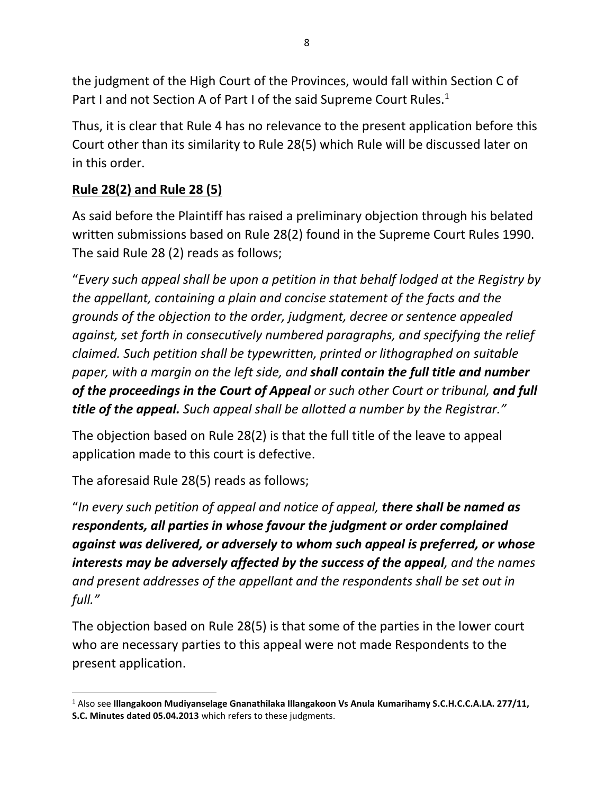the judgment of the High Court of the Provinces, would fall within Section C of Part I and not Section A of Part I of the said Supreme Court Rules.<sup>1</sup>

Thus, it is clear that Rule 4 has no relevance to the present application before this Court other than its similarity to Rule 28(5) which Rule will be discussed later on in this order.

## **Rule 28(2) and Rule 28 (5)**

As said before the Plaintiff has raised a preliminary objection through his belated written submissions based on Rule 28(2) found in the Supreme Court Rules 1990. The said Rule 28 (2) reads as follows;

"*Every such appeal shall be upon a petition in that behalf lodged at the Registry by the appellant, containing a plain and concise statement of the facts and the grounds of the objection to the order, judgment, decree or sentence appealed against, set forth in consecutively numbered paragraphs, and specifying the relief claimed. Such petition shall be typewritten, printed or lithographed on suitable paper, with a margin on the left side, and shall contain the full title and number of the proceedings in the Court of Appeal or such other Court or tribunal, and full title of the appeal. Such appeal shall be allotted a number by the Registrar."*

The objection based on Rule 28(2) is that the full title of the leave to appeal application made to this court is defective.

The aforesaid Rule 28(5) reads as follows;

"*In every such petition of appeal and notice of appeal, there shall be named as respondents, all parties in whose favour the judgment or order complained against was delivered, or adversely to whom such appeal is preferred, or whose interests may be adversely affected by the success of the appeal, and the names and present addresses of the appellant and the respondents shall be set out in full."*

The objection based on Rule 28(5) is that some of the parties in the lower court who are necessary parties to this appeal were not made Respondents to the present application.

<sup>1</sup> Also see **Illangakoon Mudiyanselage Gnanathilaka Illangakoon Vs Anula Kumarihamy S.C.H.C.C.A.LA. 277/11, S.C. Minutes dated 05.04.2013** which refers to these judgments.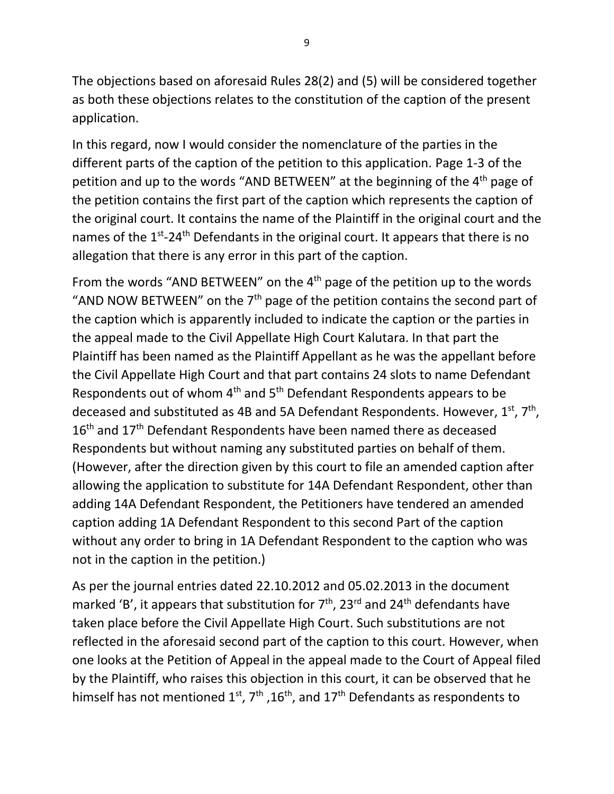The objections based on aforesaid Rules 28(2) and (5) will be considered together as both these objections relates to the constitution of the caption of the present application.

In this regard, now I would consider the nomenclature of the parties in the different parts of the caption of the petition to this application. Page 1-3 of the petition and up to the words "AND BETWEEN" at the beginning of the 4<sup>th</sup> page of the petition contains the first part of the caption which represents the caption of the original court. It contains the name of the Plaintiff in the original court and the names of the 1<sup>st</sup>-24<sup>th</sup> Defendants in the original court. It appears that there is no allegation that there is any error in this part of the caption.

From the words "AND BETWEEN" on the 4<sup>th</sup> page of the petition up to the words "AND NOW BETWEEN" on the  $7<sup>th</sup>$  page of the petition contains the second part of the caption which is apparently included to indicate the caption or the parties in the appeal made to the Civil Appellate High Court Kalutara. In that part the Plaintiff has been named as the Plaintiff Appellant as he was the appellant before the Civil Appellate High Court and that part contains 24 slots to name Defendant Respondents out of whom 4th and 5th Defendant Respondents appears to be deceased and substituted as 4B and 5A Defendant Respondents. However,  $1^{\text{st}}$ ,  $7^{\text{th}}$ , 16<sup>th</sup> and 17<sup>th</sup> Defendant Respondents have been named there as deceased Respondents but without naming any substituted parties on behalf of them. (However, after the direction given by this court to file an amended caption after allowing the application to substitute for 14A Defendant Respondent, other than adding 14A Defendant Respondent, the Petitioners have tendered an amended caption adding 1A Defendant Respondent to this second Part of the caption without any order to bring in 1A Defendant Respondent to the caption who was not in the caption in the petition.)

As per the journal entries dated 22.10.2012 and 05.02.2013 in the document marked 'B', it appears that substitution for  $7<sup>th</sup>$ , 23<sup>rd</sup> and 24<sup>th</sup> defendants have taken place before the Civil Appellate High Court. Such substitutions are not reflected in the aforesaid second part of the caption to this court. However, when one looks at the Petition of Appeal in the appeal made to the Court of Appeal filed by the Plaintiff, who raises this objection in this court, it can be observed that he himself has not mentioned  $1^{st}$ ,  $7^{th}$ ,  $16^{th}$ , and  $17^{th}$  Defendants as respondents to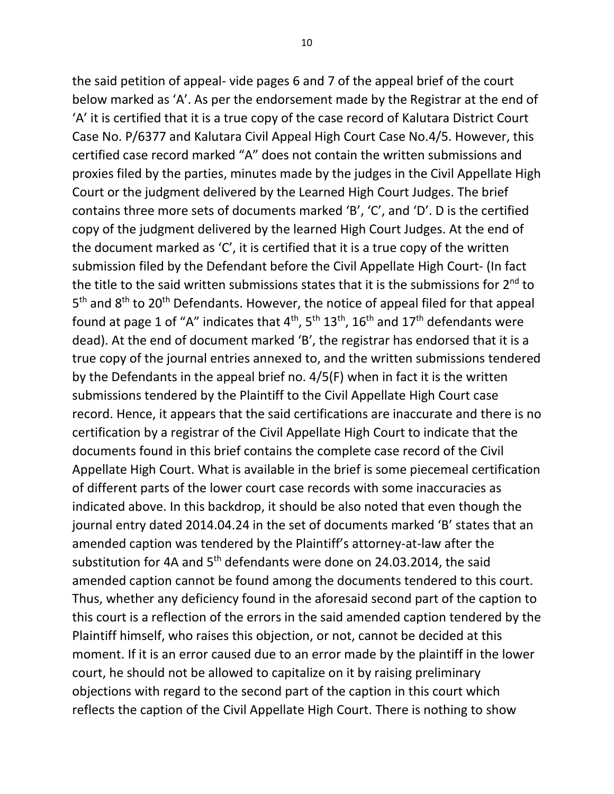the said petition of appeal- vide pages 6 and 7 of the appeal brief of the court below marked as 'A'. As per the endorsement made by the Registrar at the end of 'A' it is certified that it is a true copy of the case record of Kalutara District Court Case No. P/6377 and Kalutara Civil Appeal High Court Case No.4/5. However, this certified case record marked "A" does not contain the written submissions and proxies filed by the parties, minutes made by the judges in the Civil Appellate High Court or the judgment delivered by the Learned High Court Judges. The brief contains three more sets of documents marked 'B', 'C', and 'D'. D is the certified copy of the judgment delivered by the learned High Court Judges. At the end of the document marked as 'C', it is certified that it is a true copy of the written submission filed by the Defendant before the Civil Appellate High Court- (In fact the title to the said written submissions states that it is the submissions for  $2^{nd}$  to 5<sup>th</sup> and 8<sup>th</sup> to 20<sup>th</sup> Defendants. However, the notice of appeal filed for that appeal found at page 1 of "A" indicates that  $4<sup>th</sup>$ ,  $5<sup>th</sup> 13<sup>th</sup>$ ,  $16<sup>th</sup>$  and  $17<sup>th</sup>$  defendants were dead). At the end of document marked 'B', the registrar has endorsed that it is a true copy of the journal entries annexed to, and the written submissions tendered by the Defendants in the appeal brief no. 4/5(F) when in fact it is the written submissions tendered by the Plaintiff to the Civil Appellate High Court case record. Hence, it appears that the said certifications are inaccurate and there is no certification by a registrar of the Civil Appellate High Court to indicate that the documents found in this brief contains the complete case record of the Civil Appellate High Court. What is available in the brief is some piecemeal certification of different parts of the lower court case records with some inaccuracies as indicated above. In this backdrop, it should be also noted that even though the journal entry dated 2014.04.24 in the set of documents marked 'B' states that an amended caption was tendered by the Plaintiff's attorney-at-law after the substitution for 4A and 5<sup>th</sup> defendants were done on 24.03.2014, the said amended caption cannot be found among the documents tendered to this court. Thus, whether any deficiency found in the aforesaid second part of the caption to this court is a reflection of the errors in the said amended caption tendered by the Plaintiff himself, who raises this objection, or not, cannot be decided at this moment. If it is an error caused due to an error made by the plaintiff in the lower court, he should not be allowed to capitalize on it by raising preliminary objections with regard to the second part of the caption in this court which reflects the caption of the Civil Appellate High Court. There is nothing to show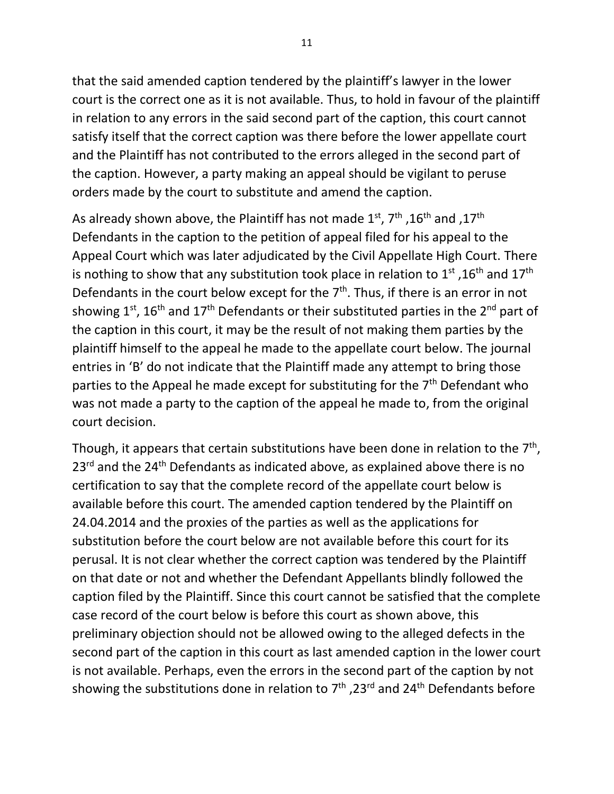that the said amended caption tendered by the plaintiff's lawyer in the lower court is the correct one as it is not available. Thus, to hold in favour of the plaintiff in relation to any errors in the said second part of the caption, this court cannot satisfy itself that the correct caption was there before the lower appellate court and the Plaintiff has not contributed to the errors alleged in the second part of the caption. However, a party making an appeal should be vigilant to peruse orders made by the court to substitute and amend the caption.

As already shown above, the Plaintiff has not made  $1^{st}$ ,  $7^{th}$ ,  $16^{th}$  and , $17^{th}$ Defendants in the caption to the petition of appeal filed for his appeal to the Appeal Court which was later adjudicated by the Civil Appellate High Court. There is nothing to show that any substitution took place in relation to  $1^{\text{st}}$  ,16<sup>th</sup> and  $17^{\text{th}}$ Defendants in the court below except for the  $7<sup>th</sup>$ . Thus, if there is an error in not showing  $1^{st}$ ,  $16^{th}$  and  $17^{th}$  Defendants or their substituted parties in the  $2^{nd}$  part of the caption in this court, it may be the result of not making them parties by the plaintiff himself to the appeal he made to the appellate court below. The journal entries in 'B' do not indicate that the Plaintiff made any attempt to bring those parties to the Appeal he made except for substituting for the  $7<sup>th</sup>$  Defendant who was not made a party to the caption of the appeal he made to, from the original court decision.

Though, it appears that certain substitutions have been done in relation to the  $7<sup>th</sup>$ , 23<sup>rd</sup> and the 24<sup>th</sup> Defendants as indicated above, as explained above there is no certification to say that the complete record of the appellate court below is available before this court. The amended caption tendered by the Plaintiff on 24.04.2014 and the proxies of the parties as well as the applications for substitution before the court below are not available before this court for its perusal. It is not clear whether the correct caption was tendered by the Plaintiff on that date or not and whether the Defendant Appellants blindly followed the caption filed by the Plaintiff. Since this court cannot be satisfied that the complete case record of the court below is before this court as shown above, this preliminary objection should not be allowed owing to the alleged defects in the second part of the caption in this court as last amended caption in the lower court is not available. Perhaps, even the errors in the second part of the caption by not showing the substitutions done in relation to  $7<sup>th</sup>$  ,23<sup>rd</sup> and 24<sup>th</sup> Defendants before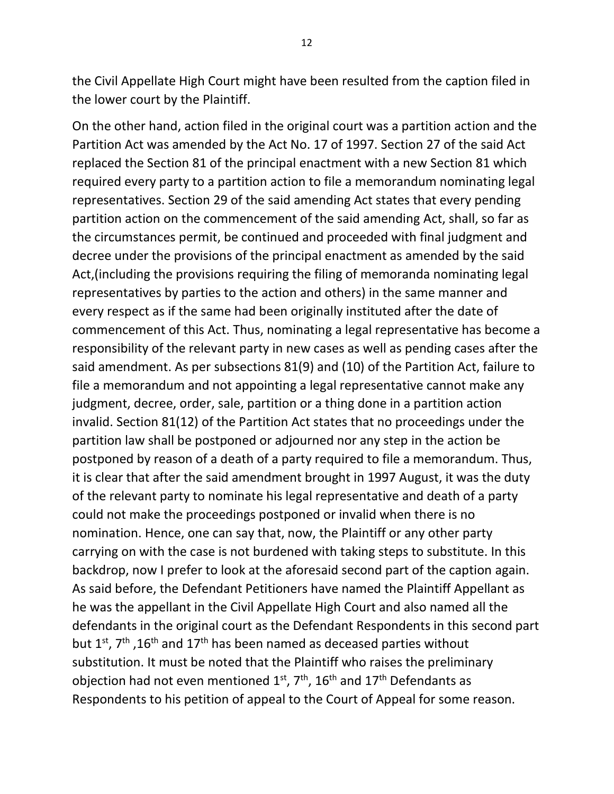the Civil Appellate High Court might have been resulted from the caption filed in the lower court by the Plaintiff.

On the other hand, action filed in the original court was a partition action and the Partition Act was amended by the Act No. 17 of 1997. Section 27 of the said Act replaced the Section 81 of the principal enactment with a new Section 81 which required every party to a partition action to file a memorandum nominating legal representatives. Section 29 of the said amending Act states that every pending partition action on the commencement of the said amending Act, shall, so far as the circumstances permit, be continued and proceeded with final judgment and decree under the provisions of the principal enactment as amended by the said Act,(including the provisions requiring the filing of memoranda nominating legal representatives by parties to the action and others) in the same manner and every respect as if the same had been originally instituted after the date of commencement of this Act. Thus, nominating a legal representative has become a responsibility of the relevant party in new cases as well as pending cases after the said amendment. As per subsections 81(9) and (10) of the Partition Act, failure to file a memorandum and not appointing a legal representative cannot make any judgment, decree, order, sale, partition or a thing done in a partition action invalid. Section 81(12) of the Partition Act states that no proceedings under the partition law shall be postponed or adjourned nor any step in the action be postponed by reason of a death of a party required to file a memorandum. Thus, it is clear that after the said amendment brought in 1997 August, it was the duty of the relevant party to nominate his legal representative and death of a party could not make the proceedings postponed or invalid when there is no nomination. Hence, one can say that, now, the Plaintiff or any other party carrying on with the case is not burdened with taking steps to substitute. In this backdrop, now I prefer to look at the aforesaid second part of the caption again. As said before, the Defendant Petitioners have named the Plaintiff Appellant as he was the appellant in the Civil Appellate High Court and also named all the defendants in the original court as the Defendant Respondents in this second part but 1<sup>st</sup>, 7<sup>th</sup>, 16<sup>th</sup> and 17<sup>th</sup> has been named as deceased parties without substitution. It must be noted that the Plaintiff who raises the preliminary objection had not even mentioned  $1^{st}$ ,  $7^{th}$ ,  $16^{th}$  and  $17^{th}$  Defendants as Respondents to his petition of appeal to the Court of Appeal for some reason.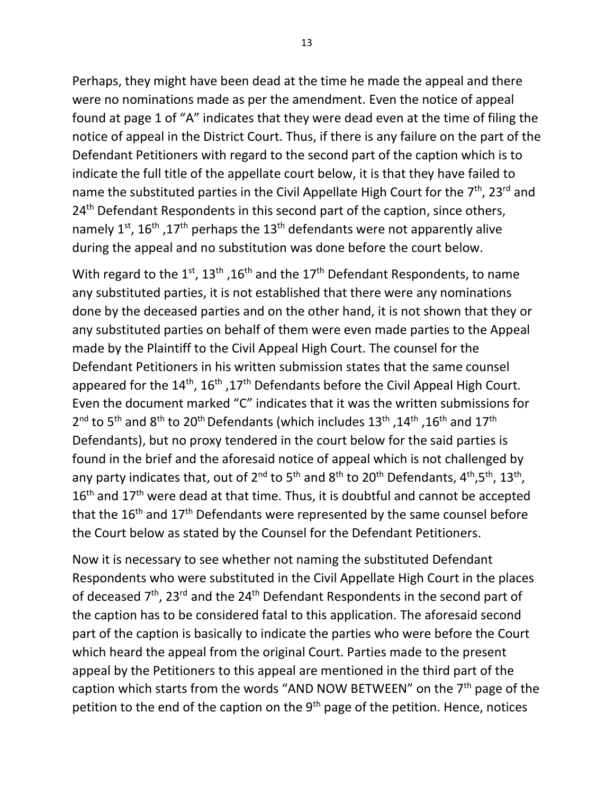Perhaps, they might have been dead at the time he made the appeal and there were no nominations made as per the amendment. Even the notice of appeal found at page 1 of "A" indicates that they were dead even at the time of filing the notice of appeal in the District Court. Thus, if there is any failure on the part of the Defendant Petitioners with regard to the second part of the caption which is to indicate the full title of the appellate court below, it is that they have failed to name the substituted parties in the Civil Appellate High Court for the  $7<sup>th</sup>$ , 23<sup>rd</sup> and 24<sup>th</sup> Defendant Respondents in this second part of the caption, since others, namely 1<sup>st</sup>, 16<sup>th</sup>, 17<sup>th</sup> perhaps the 13<sup>th</sup> defendants were not apparently alive during the appeal and no substitution was done before the court below.

With regard to the 1<sup>st</sup>, 13<sup>th</sup> ,16<sup>th</sup> and the 17<sup>th</sup> Defendant Respondents, to name any substituted parties, it is not established that there were any nominations done by the deceased parties and on the other hand, it is not shown that they or any substituted parties on behalf of them were even made parties to the Appeal made by the Plaintiff to the Civil Appeal High Court. The counsel for the Defendant Petitioners in his written submission states that the same counsel appeared for the  $14^{th}$ ,  $16^{th}$ ,  $17^{th}$  Defendants before the Civil Appeal High Court. Even the document marked "C" indicates that it was the written submissions for  $2^{\text{nd}}$  to 5<sup>th</sup> and 8<sup>th</sup> to 20<sup>th</sup> Defendants (which includes 13<sup>th</sup> ,14<sup>th</sup> ,16<sup>th</sup> and 17<sup>th</sup> Defendants), but no proxy tendered in the court below for the said parties is found in the brief and the aforesaid notice of appeal which is not challenged by any party indicates that, out of 2<sup>nd</sup> to 5<sup>th</sup> and 8<sup>th</sup> to 20<sup>th</sup> Defendants, 4<sup>th</sup>,5<sup>th</sup>, 13<sup>th</sup>,  $16<sup>th</sup>$  and  $17<sup>th</sup>$  were dead at that time. Thus, it is doubtful and cannot be accepted that the  $16<sup>th</sup>$  and  $17<sup>th</sup>$  Defendants were represented by the same counsel before the Court below as stated by the Counsel for the Defendant Petitioners.

Now it is necessary to see whether not naming the substituted Defendant Respondents who were substituted in the Civil Appellate High Court in the places of deceased  $7<sup>th</sup>$ , 23<sup>rd</sup> and the 24<sup>th</sup> Defendant Respondents in the second part of the caption has to be considered fatal to this application. The aforesaid second part of the caption is basically to indicate the parties who were before the Court which heard the appeal from the original Court. Parties made to the present appeal by the Petitioners to this appeal are mentioned in the third part of the caption which starts from the words "AND NOW BETWEEN" on the  $7<sup>th</sup>$  page of the petition to the end of the caption on the  $9<sup>th</sup>$  page of the petition. Hence, notices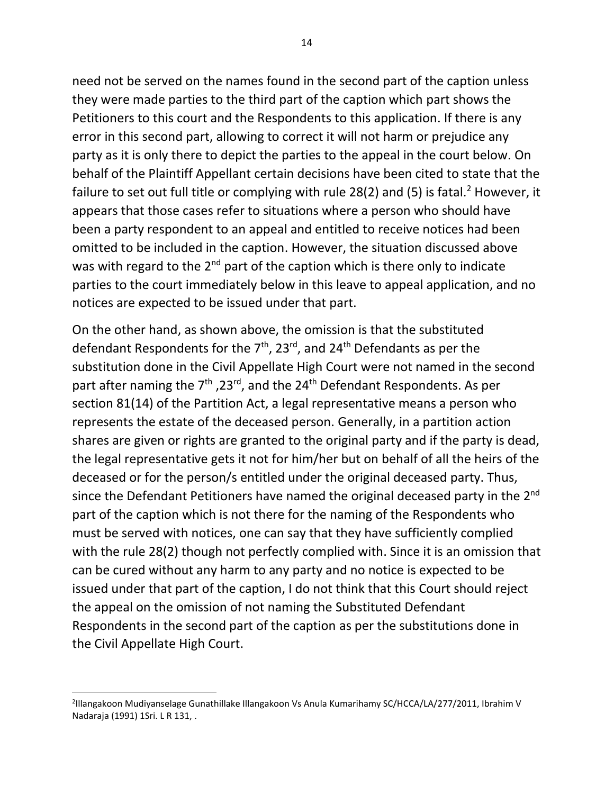need not be served on the names found in the second part of the caption unless they were made parties to the third part of the caption which part shows the Petitioners to this court and the Respondents to this application. If there is any error in this second part, allowing to correct it will not harm or prejudice any party as it is only there to depict the parties to the appeal in the court below. On behalf of the Plaintiff Appellant certain decisions have been cited to state that the failure to set out full title or complying with rule 28(2) and (5) is fatal.<sup>2</sup> However, it appears that those cases refer to situations where a person who should have been a party respondent to an appeal and entitled to receive notices had been omitted to be included in the caption. However, the situation discussed above was with regard to the  $2^{nd}$  part of the caption which is there only to indicate parties to the court immediately below in this leave to appeal application, and no notices are expected to be issued under that part.

On the other hand, as shown above, the omission is that the substituted defendant Respondents for the  $7<sup>th</sup>$ , 23<sup>rd</sup>, and 24<sup>th</sup> Defendants as per the substitution done in the Civil Appellate High Court were not named in the second part after naming the 7<sup>th</sup>, 23<sup>rd</sup>, and the 24<sup>th</sup> Defendant Respondents. As per section 81(14) of the Partition Act, a legal representative means a person who represents the estate of the deceased person. Generally, in a partition action shares are given or rights are granted to the original party and if the party is dead, the legal representative gets it not for him/her but on behalf of all the heirs of the deceased or for the person/s entitled under the original deceased party. Thus, since the Defendant Petitioners have named the original deceased party in the 2<sup>nd</sup> part of the caption which is not there for the naming of the Respondents who must be served with notices, one can say that they have sufficiently complied with the rule 28(2) though not perfectly complied with. Since it is an omission that can be cured without any harm to any party and no notice is expected to be issued under that part of the caption, I do not think that this Court should reject the appeal on the omission of not naming the Substituted Defendant Respondents in the second part of the caption as per the substitutions done in the Civil Appellate High Court.

<sup>2</sup> Illangakoon Mudiyanselage Gunathillake Illangakoon Vs Anula Kumarihamy SC/HCCA/LA/277/2011, Ibrahim V Nadaraja (1991) 1Sri. L R 131, .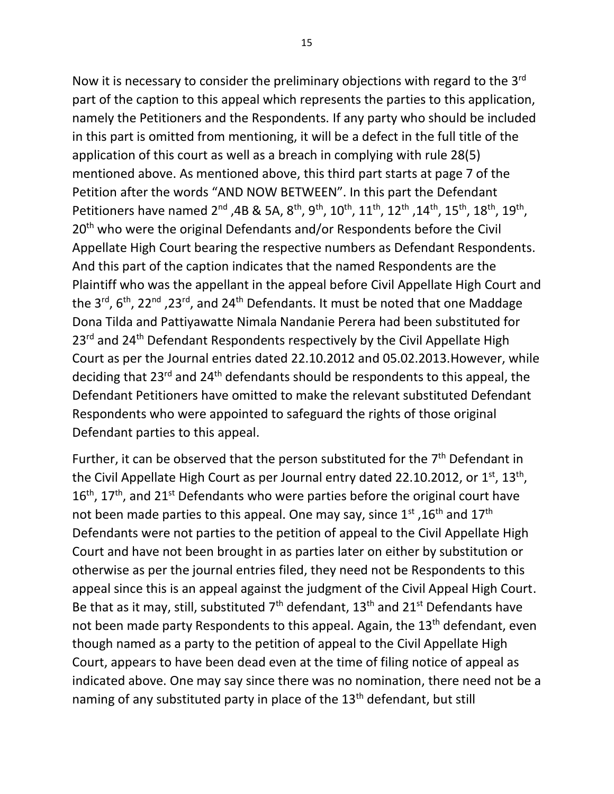Now it is necessary to consider the preliminary objections with regard to the 3<sup>rd</sup> part of the caption to this appeal which represents the parties to this application, namely the Petitioners and the Respondents. If any party who should be included in this part is omitted from mentioning, it will be a defect in the full title of the application of this court as well as a breach in complying with rule 28(5) mentioned above. As mentioned above, this third part starts at page 7 of the Petition after the words "AND NOW BETWEEN". In this part the Defendant Petitioners have named 2<sup>nd</sup> ,4B & 5A, 8<sup>th</sup>, 9<sup>th</sup>, 10<sup>th</sup>, 11<sup>th</sup>, 12<sup>th</sup>, 14<sup>th</sup>, 15<sup>th</sup>, 18<sup>th</sup>, 19<sup>th</sup>, 20<sup>th</sup> who were the original Defendants and/or Respondents before the Civil Appellate High Court bearing the respective numbers as Defendant Respondents. And this part of the caption indicates that the named Respondents are the Plaintiff who was the appellant in the appeal before Civil Appellate High Court and the 3<sup>rd</sup>, 6<sup>th</sup>, 22<sup>nd</sup>, 23<sup>rd</sup>, and 24<sup>th</sup> Defendants. It must be noted that one Maddage Dona Tilda and Pattiyawatte Nimala Nandanie Perera had been substituted for 23<sup>rd</sup> and 24<sup>th</sup> Defendant Respondents respectively by the Civil Appellate High Court as per the Journal entries dated 22.10.2012 and 05.02.2013.However, while deciding that 23<sup>rd</sup> and 24<sup>th</sup> defendants should be respondents to this appeal, the Defendant Petitioners have omitted to make the relevant substituted Defendant Respondents who were appointed to safeguard the rights of those original Defendant parties to this appeal.

Further, it can be observed that the person substituted for the  $7<sup>th</sup>$  Defendant in the Civil Appellate High Court as per Journal entry dated 22.10.2012, or  $1<sup>st</sup>$ ,  $13<sup>th</sup>$ ,  $16<sup>th</sup>$ , 17<sup>th</sup>, and 21<sup>st</sup> Defendants who were parties before the original court have not been made parties to this appeal. One may say, since  $1^{st}$ ,  $16^{th}$  and  $17^{th}$ Defendants were not parties to the petition of appeal to the Civil Appellate High Court and have not been brought in as parties later on either by substitution or otherwise as per the journal entries filed, they need not be Respondents to this appeal since this is an appeal against the judgment of the Civil Appeal High Court. Be that as it may, still, substituted  $7<sup>th</sup>$  defendant,  $13<sup>th</sup>$  and  $21<sup>st</sup>$  Defendants have not been made party Respondents to this appeal. Again, the 13<sup>th</sup> defendant, even though named as a party to the petition of appeal to the Civil Appellate High Court, appears to have been dead even at the time of filing notice of appeal as indicated above. One may say since there was no nomination, there need not be a naming of any substituted party in place of the 13<sup>th</sup> defendant, but still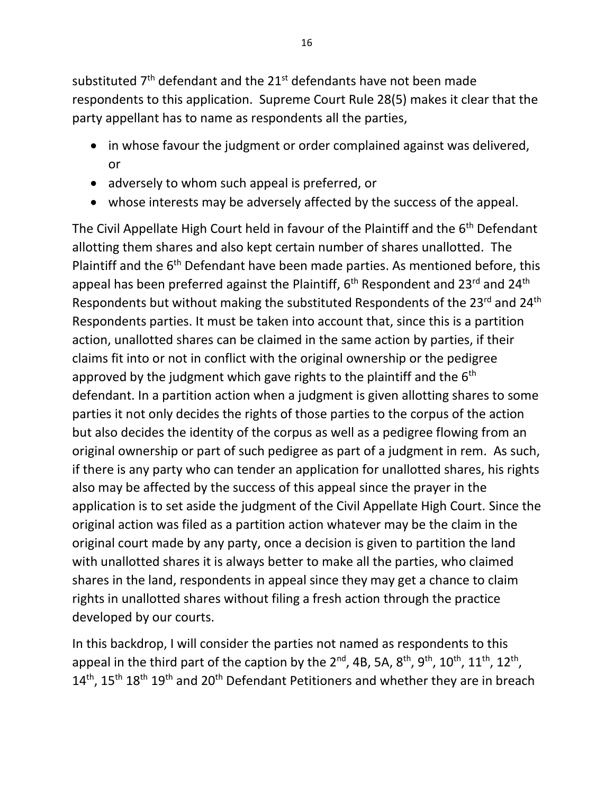substituted  $7<sup>th</sup>$  defendant and the 21 $<sup>st</sup>$  defendants have not been made</sup> respondents to this application. Supreme Court Rule 28(5) makes it clear that the party appellant has to name as respondents all the parties,

- in whose favour the judgment or order complained against was delivered, or
- adversely to whom such appeal is preferred, or
- whose interests may be adversely affected by the success of the appeal.

The Civil Appellate High Court held in favour of the Plaintiff and the 6<sup>th</sup> Defendant allotting them shares and also kept certain number of shares unallotted. The Plaintiff and the 6<sup>th</sup> Defendant have been made parties. As mentioned before, this appeal has been preferred against the Plaintiff,  $6<sup>th</sup>$  Respondent and 23<sup>rd</sup> and 24<sup>th</sup> Respondents but without making the substituted Respondents of the 23<sup>rd</sup> and 24<sup>th</sup> Respondents parties. It must be taken into account that, since this is a partition action, unallotted shares can be claimed in the same action by parties, if their claims fit into or not in conflict with the original ownership or the pedigree approved by the judgment which gave rights to the plaintiff and the  $6<sup>th</sup>$ defendant. In a partition action when a judgment is given allotting shares to some parties it not only decides the rights of those parties to the corpus of the action but also decides the identity of the corpus as well as a pedigree flowing from an original ownership or part of such pedigree as part of a judgment in rem. As such, if there is any party who can tender an application for unallotted shares, his rights also may be affected by the success of this appeal since the prayer in the application is to set aside the judgment of the Civil Appellate High Court. Since the original action was filed as a partition action whatever may be the claim in the original court made by any party, once a decision is given to partition the land with unallotted shares it is always better to make all the parties, who claimed shares in the land, respondents in appeal since they may get a chance to claim rights in unallotted shares without filing a fresh action through the practice developed by our courts.

In this backdrop, I will consider the parties not named as respondents to this appeal in the third part of the caption by the 2<sup>nd</sup>, 4B, 5A, 8<sup>th</sup>, 9<sup>th</sup>, 10<sup>th</sup>, 11<sup>th</sup>, 12<sup>th</sup>,  $14<sup>th</sup>$ ,  $15<sup>th</sup> 18<sup>th</sup> 19<sup>th</sup>$  and  $20<sup>th</sup>$  Defendant Petitioners and whether they are in breach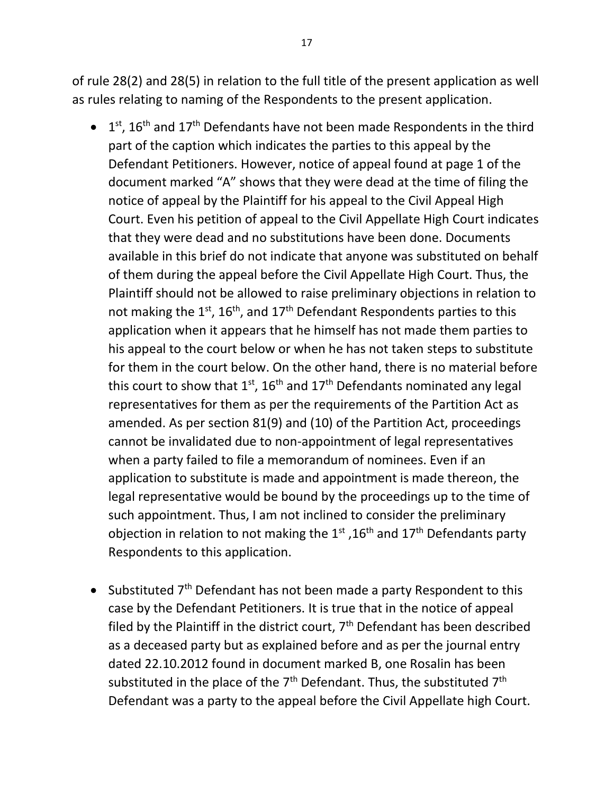of rule 28(2) and 28(5) in relation to the full title of the present application as well as rules relating to naming of the Respondents to the present application.

- $\bullet$  1<sup>st</sup>, 16<sup>th</sup> and 17<sup>th</sup> Defendants have not been made Respondents in the third part of the caption which indicates the parties to this appeal by the Defendant Petitioners. However, notice of appeal found at page 1 of the document marked "A" shows that they were dead at the time of filing the notice of appeal by the Plaintiff for his appeal to the Civil Appeal High Court. Even his petition of appeal to the Civil Appellate High Court indicates that they were dead and no substitutions have been done. Documents available in this brief do not indicate that anyone was substituted on behalf of them during the appeal before the Civil Appellate High Court. Thus, the Plaintiff should not be allowed to raise preliminary objections in relation to not making the  $1^{st}$ ,  $16^{th}$ , and  $17^{th}$  Defendant Respondents parties to this application when it appears that he himself has not made them parties to his appeal to the court below or when he has not taken steps to substitute for them in the court below. On the other hand, there is no material before this court to show that  $1^{st}$ ,  $16^{th}$  and  $17^{th}$  Defendants nominated any legal representatives for them as per the requirements of the Partition Act as amended. As per section 81(9) and (10) of the Partition Act, proceedings cannot be invalidated due to non-appointment of legal representatives when a party failed to file a memorandum of nominees. Even if an application to substitute is made and appointment is made thereon, the legal representative would be bound by the proceedings up to the time of such appointment. Thus, I am not inclined to consider the preliminary objection in relation to not making the  $1^{st}$ ,  $16^{th}$  and  $17^{th}$  Defendants party Respondents to this application.
- Substituted  $7<sup>th</sup>$  Defendant has not been made a party Respondent to this case by the Defendant Petitioners. It is true that in the notice of appeal filed by the Plaintiff in the district court,  $7<sup>th</sup>$  Defendant has been described as a deceased party but as explained before and as per the journal entry dated 22.10.2012 found in document marked B, one Rosalin has been substituted in the place of the  $7<sup>th</sup>$  Defendant. Thus, the substituted  $7<sup>th</sup>$ Defendant was a party to the appeal before the Civil Appellate high Court.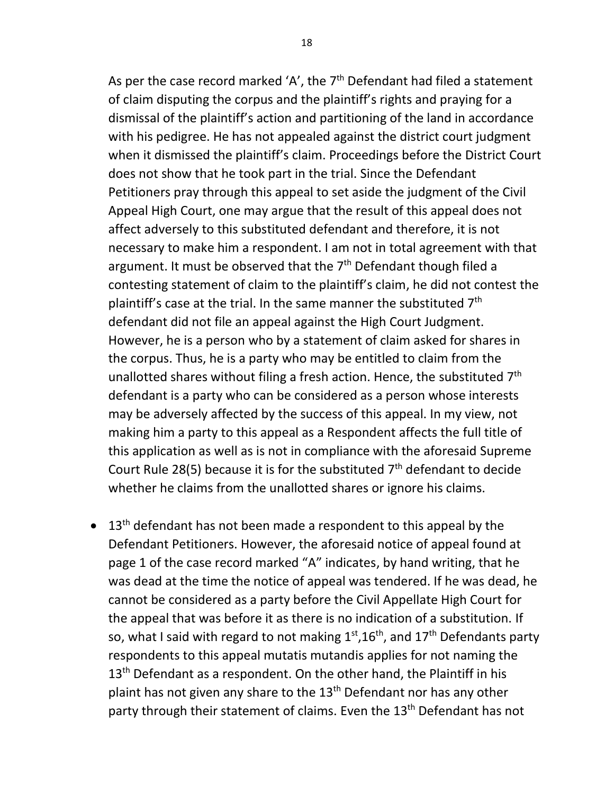As per the case record marked 'A', the  $7<sup>th</sup>$  Defendant had filed a statement of claim disputing the corpus and the plaintiff's rights and praying for a dismissal of the plaintiff's action and partitioning of the land in accordance with his pedigree. He has not appealed against the district court judgment when it dismissed the plaintiff's claim. Proceedings before the District Court does not show that he took part in the trial. Since the Defendant Petitioners pray through this appeal to set aside the judgment of the Civil Appeal High Court, one may argue that the result of this appeal does not affect adversely to this substituted defendant and therefore, it is not necessary to make him a respondent. I am not in total agreement with that argument. It must be observed that the  $7<sup>th</sup>$  Defendant though filed a contesting statement of claim to the plaintiff's claim, he did not contest the plaintiff's case at the trial. In the same manner the substituted 7<sup>th</sup> defendant did not file an appeal against the High Court Judgment. However, he is a person who by a statement of claim asked for shares in the corpus. Thus, he is a party who may be entitled to claim from the unallotted shares without filing a fresh action. Hence, the substituted  $7<sup>th</sup>$ defendant is a party who can be considered as a person whose interests may be adversely affected by the success of this appeal. In my view, not making him a party to this appeal as a Respondent affects the full title of this application as well as is not in compliance with the aforesaid Supreme Court Rule 28(5) because it is for the substituted  $7<sup>th</sup>$  defendant to decide whether he claims from the unallotted shares or ignore his claims.

 $\bullet$  13<sup>th</sup> defendant has not been made a respondent to this appeal by the Defendant Petitioners. However, the aforesaid notice of appeal found at page 1 of the case record marked "A" indicates, by hand writing, that he was dead at the time the notice of appeal was tendered. If he was dead, he cannot be considered as a party before the Civil Appellate High Court for the appeal that was before it as there is no indication of a substitution. If so, what I said with regard to not making  $1^\text{st}$ ,16<sup>th</sup>, and 17<sup>th</sup> Defendants party respondents to this appeal mutatis mutandis applies for not naming the 13<sup>th</sup> Defendant as a respondent. On the other hand, the Plaintiff in his plaint has not given any share to the 13<sup>th</sup> Defendant nor has any other party through their statement of claims. Even the 13<sup>th</sup> Defendant has not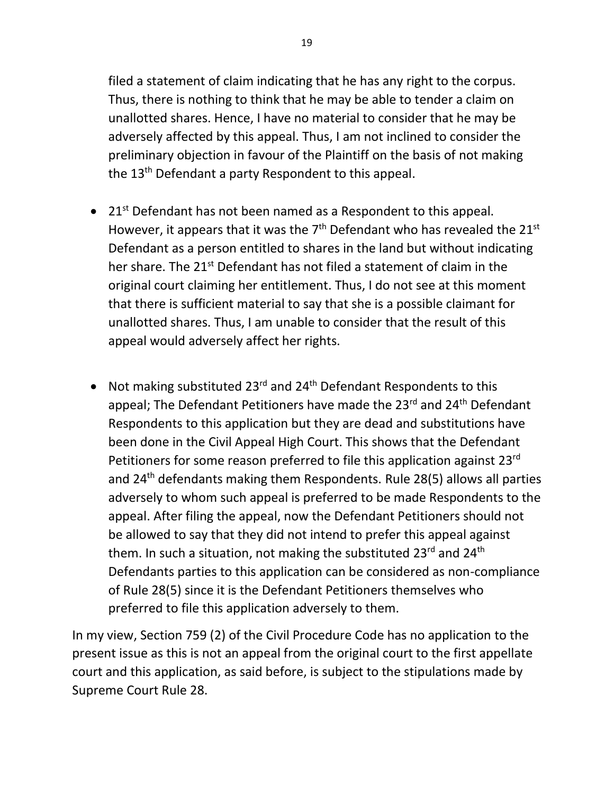filed a statement of claim indicating that he has any right to the corpus. Thus, there is nothing to think that he may be able to tender a claim on unallotted shares. Hence, I have no material to consider that he may be adversely affected by this appeal. Thus, I am not inclined to consider the preliminary objection in favour of the Plaintiff on the basis of not making the  $13<sup>th</sup>$  Defendant a party Respondent to this appeal.

- 21<sup>st</sup> Defendant has not been named as a Respondent to this appeal. However, it appears that it was the  $7<sup>th</sup>$  Defendant who has revealed the 21<sup>st</sup> Defendant as a person entitled to shares in the land but without indicating her share. The 21<sup>st</sup> Defendant has not filed a statement of claim in the original court claiming her entitlement. Thus, I do not see at this moment that there is sufficient material to say that she is a possible claimant for unallotted shares. Thus, I am unable to consider that the result of this appeal would adversely affect her rights.
- Not making substituted  $23^{rd}$  and  $24^{th}$  Defendant Respondents to this appeal; The Defendant Petitioners have made the 23<sup>rd</sup> and 24<sup>th</sup> Defendant Respondents to this application but they are dead and substitutions have been done in the Civil Appeal High Court. This shows that the Defendant Petitioners for some reason preferred to file this application against 23rd and 24th defendants making them Respondents. Rule 28(5) allows all parties adversely to whom such appeal is preferred to be made Respondents to the appeal. After filing the appeal, now the Defendant Petitioners should not be allowed to say that they did not intend to prefer this appeal against them. In such a situation, not making the substituted 23<sup>rd</sup> and 24<sup>th</sup> Defendants parties to this application can be considered as non-compliance of Rule 28(5) since it is the Defendant Petitioners themselves who preferred to file this application adversely to them.

In my view, Section 759 (2) of the Civil Procedure Code has no application to the present issue as this is not an appeal from the original court to the first appellate court and this application, as said before, is subject to the stipulations made by Supreme Court Rule 28.